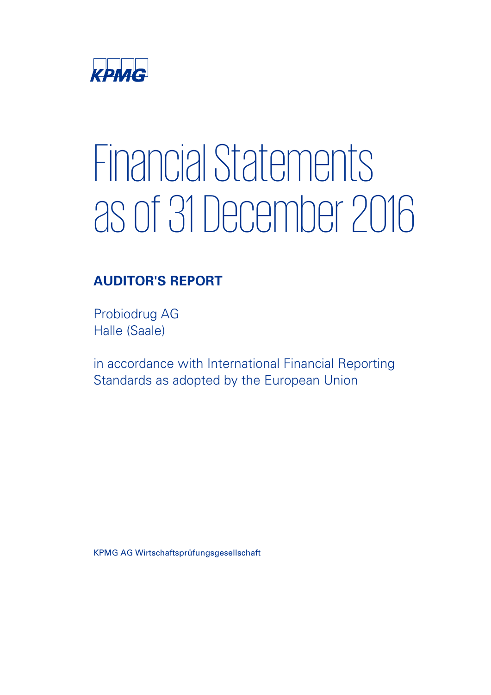

# **Financial Statements** as of 31 December 2016 as of 31 December 2016<br>AUDITOR'S REPORT

# AUDITOR'S REPORT

Probiodrug AG Halle (Saale)

in accordance with International Financial Reporting Standards as adopted by the European Union

KPMG AG Wirtschaftsprüfungsgesellschaft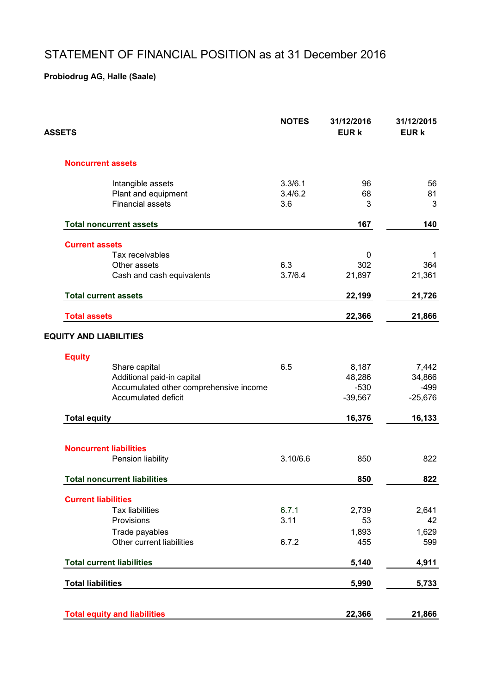# STATEMENT OF FINANCIAL POSITION as at 31 December 2016

| ASSETS                                             | <b>NOTES</b> | 31/12/2016<br><b>EUR k</b> | 31/12/2015<br><b>EUR k</b> |
|----------------------------------------------------|--------------|----------------------------|----------------------------|
| <b>Noncurrent assets</b>                           |              |                            |                            |
| Intangible assets                                  | 3.3/6.1      | 96                         | 56                         |
| Plant and equipment                                | 3.4/6.2      | 68                         | 81                         |
| <b>Financial assets</b>                            | 3.6          | 3                          | 3                          |
| <b>Total noncurrent assets</b>                     |              | 167                        | 140                        |
| <b>Current assets</b>                              |              |                            |                            |
| Tax receivables                                    |              | 0                          | -1                         |
| Other assets                                       | 6.3          | 302                        | 364                        |
| Cash and cash equivalents                          | 3.7/6.4      | 21,897                     | 21,361                     |
| <b>Total current assets</b>                        |              | 22,199                     | 21,726                     |
|                                                    |              |                            |                            |
| <b>Total assets</b>                                |              | 22,366                     | 21,866                     |
| <b>EQUITY AND LIABILITIES</b>                      |              |                            |                            |
| <b>Equity</b>                                      |              |                            |                            |
| Share capital                                      | 6.5          | 8,187                      | 7,442                      |
| Additional paid-in capital                         |              | 48,286                     | 34,866                     |
| Accumulated other comprehensive income             |              | $-530$                     | $-499$                     |
| Accumulated deficit                                |              | $-39,567$                  | $-25,676$                  |
| <b>Total equity</b>                                |              | 16,376                     | 16,133                     |
|                                                    |              |                            |                            |
| <b>Noncurrent liabilities</b><br>Pension liability | 3.10/6.6     | 850                        | 822                        |
|                                                    |              |                            |                            |
| <b>Total noncurrent liabilities</b>                |              | 850                        | 822                        |
| <b>Current liabilities</b>                         |              |                            |                            |
| <b>Tax liabilities</b>                             | 6.7.1        | 2,739                      | 2,641                      |
| Provisions                                         | 3.11         | 53                         | 42                         |
| Trade payables                                     |              | 1,893                      | 1,629                      |
| Other current liabilities                          | 6.7.2        | 455                        | 599                        |
| <b>Total current liabilities</b>                   |              | 5,140                      | 4,911                      |
| <b>Total liabilities</b>                           |              | 5,990                      | 5,733                      |
|                                                    |              |                            |                            |
| <b>Total equity and liabilities</b>                |              | 22,366                     | 21,866                     |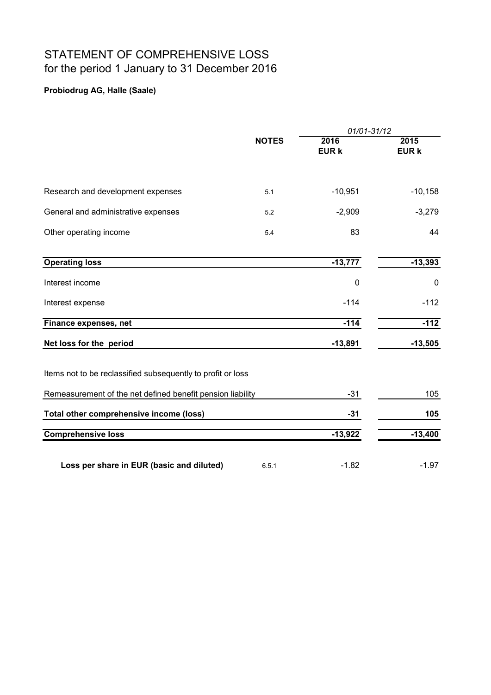# STATEMENT OF COMPREHENSIVE LOSS for the period 1 January to 31 December 2016

|                                                             |              | 01/01-31/12          |                      |
|-------------------------------------------------------------|--------------|----------------------|----------------------|
|                                                             | <b>NOTES</b> | 2016<br><b>EUR k</b> | 2015<br><b>EUR k</b> |
|                                                             |              |                      |                      |
| Research and development expenses                           | 5.1          | $-10,951$            | $-10,158$            |
| General and administrative expenses                         | 5.2          | $-2,909$             | $-3,279$             |
| Other operating income                                      | 5.4          | 83                   | 44                   |
|                                                             |              |                      |                      |
| <b>Operating loss</b>                                       |              | $-13,777$            | $-13,393$            |
| Interest income                                             |              | $\mathbf 0$          | 0                    |
| Interest expense                                            |              | $-114$               | $-112$               |
| Finance expenses, net                                       |              | $-114$               | $-112$               |
| Net loss for the period                                     |              | $-13,891$            | $-13,505$            |
| Items not to be reclassified subsequently to profit or loss |              |                      |                      |
| Remeasurement of the net defined benefit pension liability  |              | $-31$                | 105                  |
| Total other comprehensive income (loss)                     |              | $-31$                | 105                  |
| <b>Comprehensive loss</b>                                   |              | $-13,922$            | $-13,400$            |
| Loss per share in EUR (basic and diluted)                   | 6.5.1        | $-1.82$              | $-1.97$              |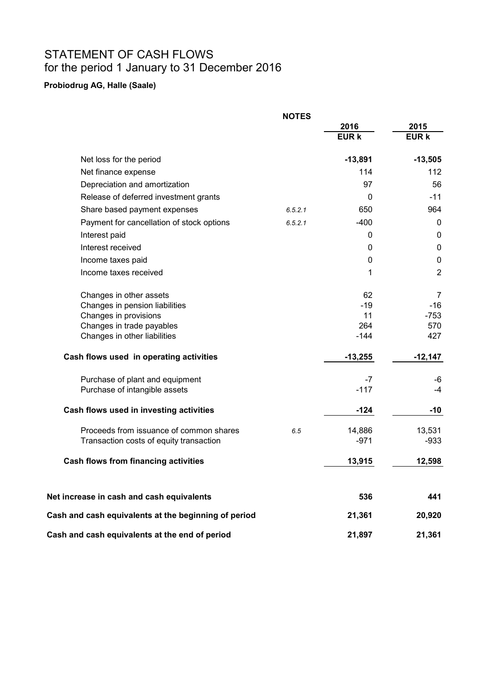# STATEMENT OF CASH FLOWS for the period 1 January to 31 December 2016

|                                                           | <b>NOTES</b> |               |                |
|-----------------------------------------------------------|--------------|---------------|----------------|
|                                                           |              | 2016          | 2015           |
|                                                           |              | <b>EUR k</b>  | <b>EUR k</b>   |
| Net loss for the period                                   |              | $-13,891$     | $-13,505$      |
| Net finance expense                                       |              | 114           | 112            |
| Depreciation and amortization                             |              | 97            | 56             |
| Release of deferred investment grants                     |              | 0             | $-11$          |
| Share based payment expenses                              | 6.5.2.1      | 650           | 964            |
| Payment for cancellation of stock options                 | 6.5.2.1      | $-400$        | $\mathbf{0}$   |
| Interest paid                                             |              | 0             | 0              |
| Interest received                                         |              | 0             | 0              |
| Income taxes paid                                         |              | 0             | $\pmb{0}$      |
| Income taxes received                                     |              | 1             | $\overline{2}$ |
| Changes in other assets                                   |              | 62            | 7              |
| Changes in pension liabilities                            |              | $-19$         | $-16$          |
| Changes in provisions                                     |              | 11            | $-753$         |
| Changes in trade payables<br>Changes in other liabilities |              | 264<br>$-144$ | 570<br>427     |
| Cash flows used in operating activities                   |              | $-13,255$     | $-12,147$      |
| Purchase of plant and equipment                           |              | $-7$          | -6             |
| Purchase of intangible assets                             |              | $-117$        | -4             |
| Cash flows used in investing activities                   |              | $-124$        | -10            |
| Proceeds from issuance of common shares                   | 6.5          | 14,886        | 13,531         |
| Transaction costs of equity transaction                   |              | $-971$        | $-933$         |
| <b>Cash flows from financing activities</b>               |              | 13,915        | 12,598         |
| Net increase in cash and cash equivalents                 |              | 536           | 441            |
| Cash and cash equivalents at the beginning of period      |              | 21,361        | 20,920         |
| Cash and cash equivalents at the end of period            |              | 21,897        | 21,361         |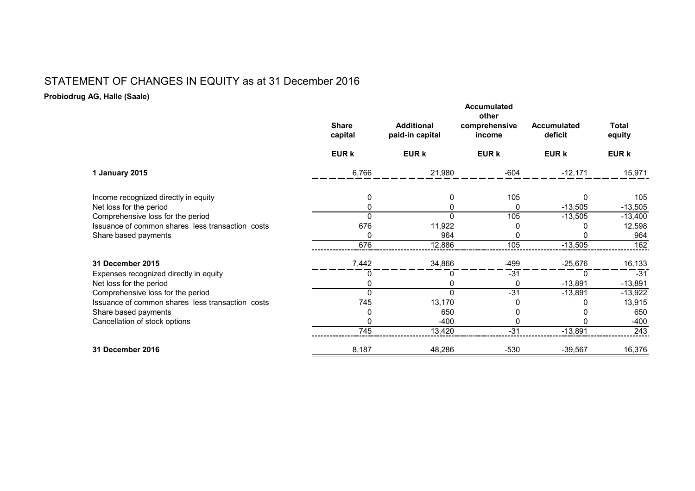### STATEMENT OF CHANGES IN EQUITY as at 31 December 2016

|                                                                                                               | <b>Share</b><br>capital | <b>Additional</b><br>paid-in capital | <b>Accumulated</b><br>other<br>comprehensive<br>income | <b>Accumulated</b><br>deficit | <b>Total</b><br>equity     |
|---------------------------------------------------------------------------------------------------------------|-------------------------|--------------------------------------|--------------------------------------------------------|-------------------------------|----------------------------|
|                                                                                                               | <b>EUR k</b>            | <b>EUR k</b>                         | <b>EUR k</b>                                           | <b>EUR k</b>                  | <b>EUR k</b>               |
| 1 January 2015                                                                                                | 6,766                   | 21,980                               | $-604$                                                 | $-12,171$                     | 15,971                     |
| Income recognized directly in equity<br>Net loss for the period                                               | 0                       | 0<br>0                               | 105<br>0                                               | 0<br>$-13,505$                | 105<br>$-13,505$           |
| Comprehensive loss for the period<br>Issuance of common shares less transaction costs<br>Share based payments | 676<br>0                | $\Omega$<br>11,922<br>964            | 105<br>O<br>0                                          | $-13,505$                     | $-13,400$<br>12,598<br>964 |
|                                                                                                               | 676                     | 12,886                               | 105                                                    | $-13,505$                     | 162                        |
| <b>31 December 2015</b>                                                                                       | 7,442                   | 34,866                               | -499                                                   | $-25,676$                     | 16,133                     |
| Expenses recognized directly in equity<br>Net loss for the period                                             |                         | 0<br>0                               | $-31$<br>0                                             | 0<br>$-13,891$                | $-31$<br>$-13,891$         |
| Comprehensive loss for the period<br>Issuance of common shares less transaction costs                         | O<br>745                | $\Omega$<br>13,170                   | $-31$                                                  | $-13,891$                     | $-13,922$<br>13,915        |
| Share based payments<br>Cancellation of stock options                                                         |                         | 650<br>$-400$                        |                                                        |                               | 650<br>$-400$              |
|                                                                                                               | 745                     | 13,420                               | $-31$                                                  | $-13,891$                     | $\overline{243}$           |
| <b>31 December 2016</b>                                                                                       | 8,187                   | 48,286                               | $-530$                                                 | $-39,567$                     | 16,376                     |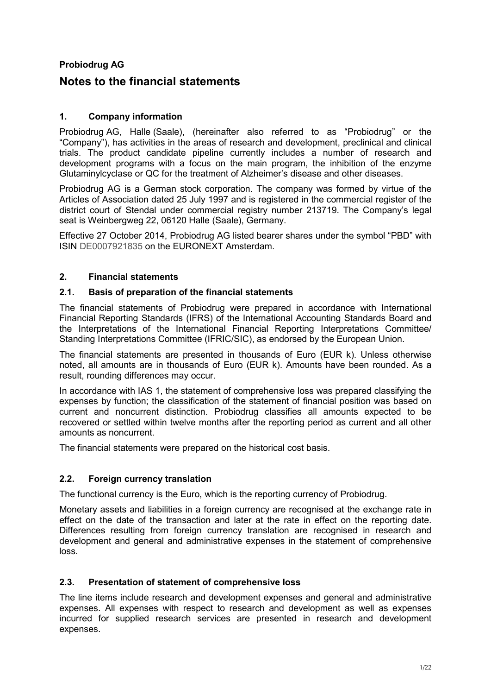#### **Probiodrug AG**

#### **Notes to the financial statements**

#### **1. Company information**

Probiodrug AG, Halle (Saale), (hereinafter also referred to as "Probiodrug" or the "Company"), has activities in the areas of research and development, preclinical and clinical trials. The product candidate pipeline currently includes a number of research and development programs with a focus on the main program, the inhibition of the enzyme Glutaminylcyclase or QC for the treatment of Alzheimer's disease and other diseases.

Probiodrug AG is a German stock corporation. The company was formed by virtue of the Articles of Association dated 25 July 1997 and is registered in the commercial register of the district court of Stendal under commercial registry number 213719. The Company's legal seat is Weinbergweg 22, 06120 Halle (Saale), Germany.

Effective 27 October 2014, Probiodrug AG listed bearer shares under the symbol "PBD" with ISIN DE0007921835 on the EURONEXT Amsterdam.

#### **2. Financial statements**

#### **2.1. Basis of preparation of the financial statements**

The financial statements of Probiodrug were prepared in accordance with International Financial Reporting Standards (IFRS) of the International Accounting Standards Board and the Interpretations of the International Financial Reporting Interpretations Committee/ Standing Interpretations Committee (IFRIC/SIC), as endorsed by the European Union.

The financial statements are presented in thousands of Euro (EUR k). Unless otherwise noted, all amounts are in thousands of Euro (EUR k). Amounts have been rounded. As a result, rounding differences may occur.

In accordance with IAS 1, the statement of comprehensive loss was prepared classifying the expenses by function; the classification of the statement of financial position was based on current and noncurrent distinction. Probiodrug classifies all amounts expected to be recovered or settled within twelve months after the reporting period as current and all other amounts as noncurrent.

The financial statements were prepared on the historical cost basis.

#### **2.2. Foreign currency translation**

The functional currency is the Euro, which is the reporting currency of Probiodrug.

Monetary assets and liabilities in a foreign currency are recognised at the exchange rate in effect on the date of the transaction and later at the rate in effect on the reporting date. Differences resulting from foreign currency translation are recognised in research and development and general and administrative expenses in the statement of comprehensive loss.

#### **2.3. Presentation of statement of comprehensive loss**

The line items include research and development expenses and general and administrative expenses. All expenses with respect to research and development as well as expenses incurred for supplied research services are presented in research and development expenses.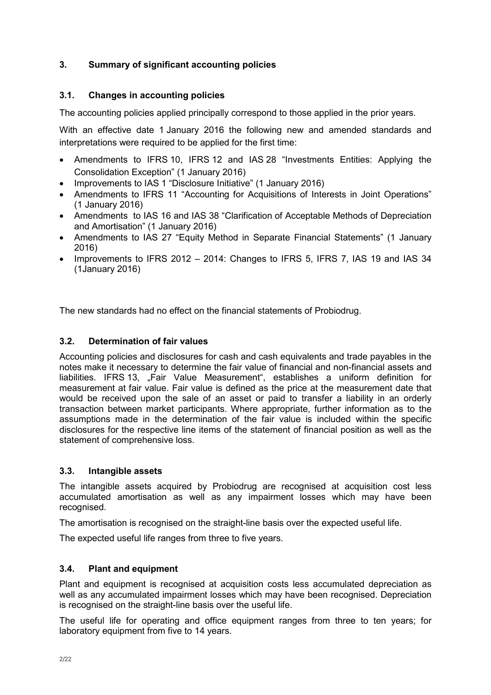#### **3. Summary of significant accounting policies**

#### **3.1. Changes in accounting policies**

The accounting policies applied principally correspond to those applied in the prior years.

With an effective date 1 January 2016 the following new and amended standards and interpretations were required to be applied for the first time:

- Amendments to IFRS 10, IFRS 12 and IAS 28 "Investments Entities: Applying the Consolidation Exception" (1 January 2016)
- Improvements to IAS 1 "Disclosure Initiative" (1 January 2016)
- Amendments to IFRS 11 "Accounting for Acquisitions of Interests in Joint Operations" (1 January 2016)
- Amendments to IAS 16 and IAS 38 "Clarification of Acceptable Methods of Depreciation and Amortisation" (1 January 2016)
- Amendments to IAS 27 "Equity Method in Separate Financial Statements" (1 January 2016)
- Improvements to IFRS 2012 2014: Changes to IFRS 5, IFRS 7, IAS 19 and IAS 34 (1January 2016)

The new standards had no effect on the financial statements of Probiodrug.

#### **3.2. Determination of fair values**

Accounting policies and disclosures for cash and cash equivalents and trade payables in the notes make it necessary to determine the fair value of financial and non-financial assets and liabilities. IFRS 13, "Fair Value Measurement", establishes a uniform definition for measurement at fair value. Fair value is defined as the price at the measurement date that would be received upon the sale of an asset or paid to transfer a liability in an orderly transaction between market participants. Where appropriate, further information as to the assumptions made in the determination of the fair value is included within the specific disclosures for the respective line items of the statement of financial position as well as the statement of comprehensive loss.

#### **3.3. Intangible assets**

The intangible assets acquired by Probiodrug are recognised at acquisition cost less accumulated amortisation as well as any impairment losses which may have been recognised.

The amortisation is recognised on the straight-line basis over the expected useful life.

The expected useful life ranges from three to five years.

#### **3.4. Plant and equipment**

Plant and equipment is recognised at acquisition costs less accumulated depreciation as well as any accumulated impairment losses which may have been recognised. Depreciation is recognised on the straight-line basis over the useful life.

The useful life for operating and office equipment ranges from three to ten years; for laboratory equipment from five to 14 years.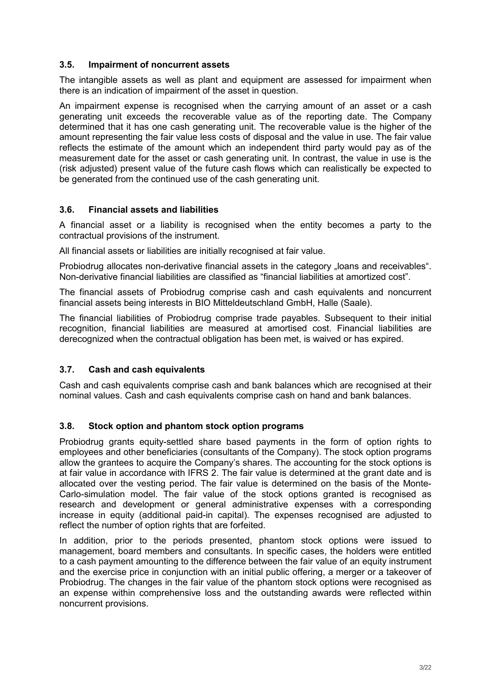#### **3.5. Impairment of noncurrent assets**

The intangible assets as well as plant and equipment are assessed for impairment when there is an indication of impairment of the asset in question.

An impairment expense is recognised when the carrying amount of an asset or a cash generating unit exceeds the recoverable value as of the reporting date. The Company determined that it has one cash generating unit. The recoverable value is the higher of the amount representing the fair value less costs of disposal and the value in use. The fair value reflects the estimate of the amount which an independent third party would pay as of the measurement date for the asset or cash generating unit. In contrast, the value in use is the (risk adjusted) present value of the future cash flows which can realistically be expected to be generated from the continued use of the cash generating unit.

#### **3.6. Financial assets and liabilities**

A financial asset or a liability is recognised when the entity becomes a party to the contractual provisions of the instrument.

All financial assets or liabilities are initially recognised at fair value.

Probiodrug allocates non-derivative financial assets in the category "loans and receivables". Non-derivative financial liabilities are classified as "financial liabilities at amortized cost".

The financial assets of Probiodrug comprise cash and cash equivalents and noncurrent financial assets being interests in BIO Mitteldeutschland GmbH, Halle (Saale).

The financial liabilities of Probiodrug comprise trade payables. Subsequent to their initial recognition, financial liabilities are measured at amortised cost. Financial liabilities are derecognized when the contractual obligation has been met, is waived or has expired.

#### **3.7. Cash and cash equivalents**

Cash and cash equivalents comprise cash and bank balances which are recognised at their nominal values. Cash and cash equivalents comprise cash on hand and bank balances.

#### **3.8. Stock option and phantom stock option programs**

Probiodrug grants equity-settled share based payments in the form of option rights to employees and other beneficiaries (consultants of the Company). The stock option programs allow the grantees to acquire the Company's shares. The accounting for the stock options is at fair value in accordance with IFRS 2. The fair value is determined at the grant date and is allocated over the vesting period. The fair value is determined on the basis of the Monte-Carlo-simulation model. The fair value of the stock options granted is recognised as research and development or general administrative expenses with a corresponding increase in equity (additional paid-in capital). The expenses recognised are adjusted to reflect the number of option rights that are forfeited.

In addition, prior to the periods presented, phantom stock options were issued to management, board members and consultants. In specific cases, the holders were entitled to a cash payment amounting to the difference between the fair value of an equity instrument and the exercise price in conjunction with an initial public offering, a merger or a takeover of Probiodrug. The changes in the fair value of the phantom stock options were recognised as an expense within comprehensive loss and the outstanding awards were reflected within noncurrent provisions.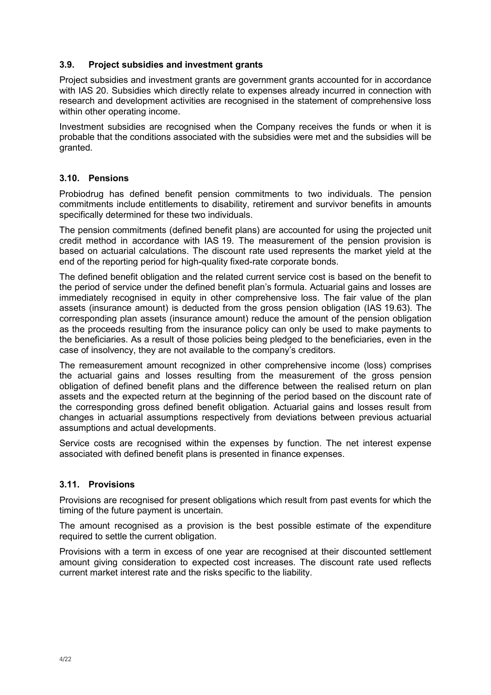#### **3.9. Project subsidies and investment grants**

Project subsidies and investment grants are government grants accounted for in accordance with IAS 20. Subsidies which directly relate to expenses already incurred in connection with research and development activities are recognised in the statement of comprehensive loss within other operating income.

Investment subsidies are recognised when the Company receives the funds or when it is probable that the conditions associated with the subsidies were met and the subsidies will be granted.

#### **3.10. Pensions**

Probiodrug has defined benefit pension commitments to two individuals. The pension commitments include entitlements to disability, retirement and survivor benefits in amounts specifically determined for these two individuals.

The pension commitments (defined benefit plans) are accounted for using the projected unit credit method in accordance with IAS 19. The measurement of the pension provision is based on actuarial calculations. The discount rate used represents the market yield at the end of the reporting period for high-quality fixed-rate corporate bonds.

The defined benefit obligation and the related current service cost is based on the benefit to the period of service under the defined benefit plan's formula. Actuarial gains and losses are immediately recognised in equity in other comprehensive loss. The fair value of the plan assets (insurance amount) is deducted from the gross pension obligation (IAS 19.63). The corresponding plan assets (insurance amount) reduce the amount of the pension obligation as the proceeds resulting from the insurance policy can only be used to make payments to the beneficiaries. As a result of those policies being pledged to the beneficiaries, even in the case of insolvency, they are not available to the company's creditors.

The remeasurement amount recognized in other comprehensive income (loss) comprises the actuarial gains and losses resulting from the measurement of the gross pension obligation of defined benefit plans and the difference between the realised return on plan assets and the expected return at the beginning of the period based on the discount rate of the corresponding gross defined benefit obligation. Actuarial gains and losses result from changes in actuarial assumptions respectively from deviations between previous actuarial assumptions and actual developments.

Service costs are recognised within the expenses by function. The net interest expense associated with defined benefit plans is presented in finance expenses.

#### **3.11. Provisions**

Provisions are recognised for present obligations which result from past events for which the timing of the future payment is uncertain.

The amount recognised as a provision is the best possible estimate of the expenditure required to settle the current obligation.

Provisions with a term in excess of one year are recognised at their discounted settlement amount giving consideration to expected cost increases. The discount rate used reflects current market interest rate and the risks specific to the liability.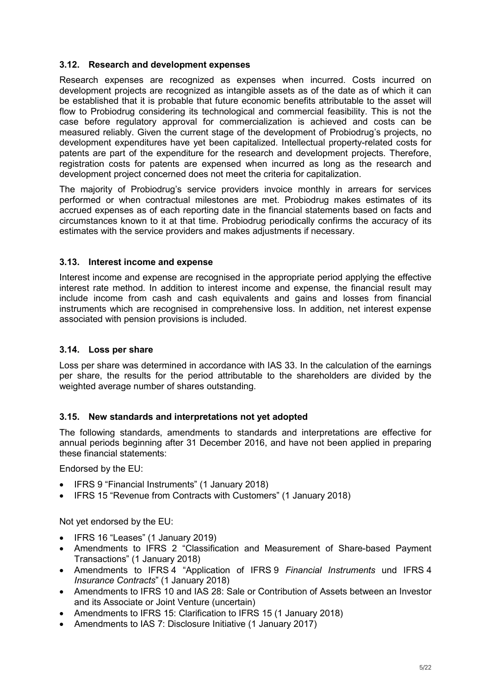#### **3.12. Research and development expenses**

Research expenses are recognized as expenses when incurred. Costs incurred on development projects are recognized as intangible assets as of the date as of which it can be established that it is probable that future economic benefits attributable to the asset will flow to Probiodrug considering its technological and commercial feasibility. This is not the case before regulatory approval for commercialization is achieved and costs can be measured reliably. Given the current stage of the development of Probiodrug's projects, no development expenditures have yet been capitalized. Intellectual property-related costs for patents are part of the expenditure for the research and development projects. Therefore, registration costs for patents are expensed when incurred as long as the research and development project concerned does not meet the criteria for capitalization.

The majority of Probiodrug's service providers invoice monthly in arrears for services performed or when contractual milestones are met. Probiodrug makes estimates of its accrued expenses as of each reporting date in the financial statements based on facts and circumstances known to it at that time. Probiodrug periodically confirms the accuracy of its estimates with the service providers and makes adjustments if necessary.

#### **3.13. Interest income and expense**

Interest income and expense are recognised in the appropriate period applying the effective interest rate method. In addition to interest income and expense, the financial result may include income from cash and cash equivalents and gains and losses from financial instruments which are recognised in comprehensive loss. In addition, net interest expense associated with pension provisions is included.

#### **3.14. Loss per share**

Loss per share was determined in accordance with IAS 33. In the calculation of the earnings per share, the results for the period attributable to the shareholders are divided by the weighted average number of shares outstanding.

#### **3.15. New standards and interpretations not yet adopted**

The following standards, amendments to standards and interpretations are effective for annual periods beginning after 31 December 2016, and have not been applied in preparing these financial statements:

Endorsed by the EU:

- IFRS 9 "Financial Instruments" (1 January 2018)
- IFRS 15 "Revenue from Contracts with Customers" (1 January 2018)

Not yet endorsed by the EU:

- IFRS 16 "Leases" (1 January 2019)
- Amendments to IFRS 2 "Classification and Measurement of Share-based Payment Transactions" (1 January 2018)
- Amendments to IFRS 4 "Application of IFRS 9 *Financial Instruments* und IFRS 4 *Insurance Contracts*" (1 January 2018)
- Amendments to IFRS 10 and IAS 28: Sale or Contribution of Assets between an Investor and its Associate or Joint Venture (uncertain)
- Amendments to IFRS 15: Clarification to IFRS 15 (1 January 2018)
- Amendments to IAS 7: Disclosure Initiative (1 January 2017)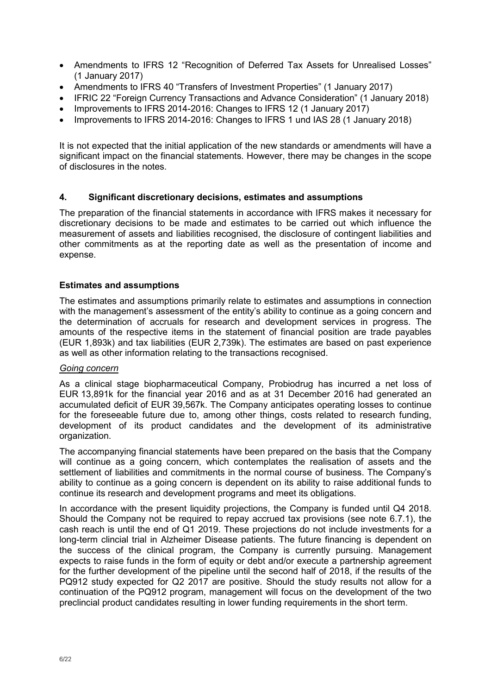- Amendments to IFRS 12 "Recognition of Deferred Tax Assets for Unrealised Losses" (1 January 2017)
- Amendments to IFRS 40 "Transfers of Investment Properties" (1 January 2017)
- IFRIC 22 "Foreign Currency Transactions and Advance Consideration" (1 January 2018)
- Improvements to IFRS 2014-2016: Changes to IFRS 12 (1 January 2017)
- Improvements to IFRS 2014-2016: Changes to IFRS 1 und IAS 28 (1 January 2018)

It is not expected that the initial application of the new standards or amendments will have a significant impact on the financial statements. However, there may be changes in the scope of disclosures in the notes.

#### **4. Significant discretionary decisions, estimates and assumptions**

The preparation of the financial statements in accordance with IFRS makes it necessary for discretionary decisions to be made and estimates to be carried out which influence the measurement of assets and liabilities recognised, the disclosure of contingent liabilities and other commitments as at the reporting date as well as the presentation of income and expense.

#### **Estimates and assumptions**

The estimates and assumptions primarily relate to estimates and assumptions in connection with the management's assessment of the entity's ability to continue as a going concern and the determination of accruals for research and development services in progress. The amounts of the respective items in the statement of financial position are trade payables (EUR 1,893k) and tax liabilities (EUR 2,739k). The estimates are based on past experience as well as other information relating to the transactions recognised.

#### *Going concern*

As a clinical stage biopharmaceutical Company, Probiodrug has incurred a net loss of EUR 13,891k for the financial year 2016 and as at 31 December 2016 had generated an accumulated deficit of EUR 39,567k. The Company anticipates operating losses to continue for the foreseeable future due to, among other things, costs related to research funding, development of its product candidates and the development of its administrative organization.

The accompanying financial statements have been prepared on the basis that the Company will continue as a going concern, which contemplates the realisation of assets and the settlement of liabilities and commitments in the normal course of business. The Company's ability to continue as a going concern is dependent on its ability to raise additional funds to continue its research and development programs and meet its obligations.

In accordance with the present liquidity projections, the Company is funded until Q4 2018. Should the Company not be required to repay accrued tax provisions (see note 6.7.1), the cash reach is until the end of Q1 2019. These projections do not include investments for a long-term clincial trial in Alzheimer Disease patients. The future financing is dependent on the success of the clinical program, the Company is currently pursuing. Management expects to raise funds in the form of equity or debt and/or execute a partnership agreement for the further development of the pipeline until the second half of 2018, if the results of the PQ912 study expected for Q2 2017 are positive. Should the study results not allow for a continuation of the PQ912 program, management will focus on the development of the two preclincial product candidates resulting in lower funding requirements in the short term.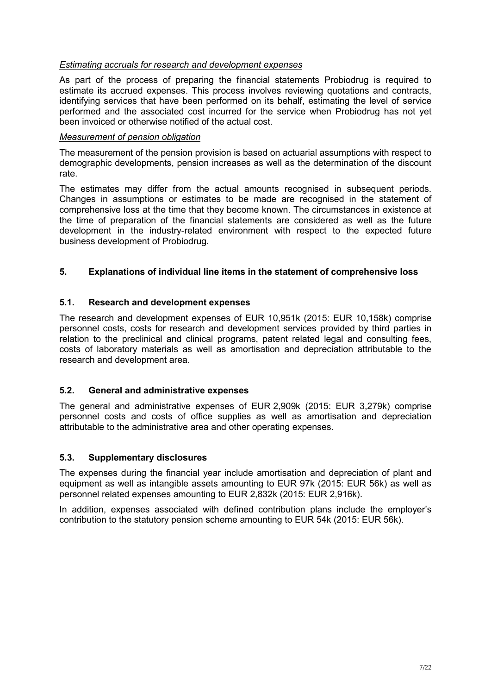#### *Estimating accruals for research and development expenses*

As part of the process of preparing the financial statements Probiodrug is required to estimate its accrued expenses. This process involves reviewing quotations and contracts, identifying services that have been performed on its behalf, estimating the level of service performed and the associated cost incurred for the service when Probiodrug has not yet been invoiced or otherwise notified of the actual cost.

#### *Measurement of pension obligation*

The measurement of the pension provision is based on actuarial assumptions with respect to demographic developments, pension increases as well as the determination of the discount rate.

The estimates may differ from the actual amounts recognised in subsequent periods. Changes in assumptions or estimates to be made are recognised in the statement of comprehensive loss at the time that they become known. The circumstances in existence at the time of preparation of the financial statements are considered as well as the future development in the industry-related environment with respect to the expected future business development of Probiodrug.

#### **5. Explanations of individual line items in the statement of comprehensive loss**

#### **5.1. Research and development expenses**

The research and development expenses of EUR 10,951k (2015: EUR 10,158k) comprise personnel costs, costs for research and development services provided by third parties in relation to the preclinical and clinical programs, patent related legal and consulting fees, costs of laboratory materials as well as amortisation and depreciation attributable to the research and development area.

#### **5.2. General and administrative expenses**

The general and administrative expenses of EUR 2,909k (2015: EUR 3,279k) comprise personnel costs and costs of office supplies as well as amortisation and depreciation attributable to the administrative area and other operating expenses.

#### **5.3. Supplementary disclosures**

The expenses during the financial year include amortisation and depreciation of plant and equipment as well as intangible assets amounting to EUR 97k (2015: EUR 56k) as well as personnel related expenses amounting to EUR 2,832k (2015: EUR 2,916k).

In addition, expenses associated with defined contribution plans include the employer's contribution to the statutory pension scheme amounting to EUR 54k (2015: EUR 56k).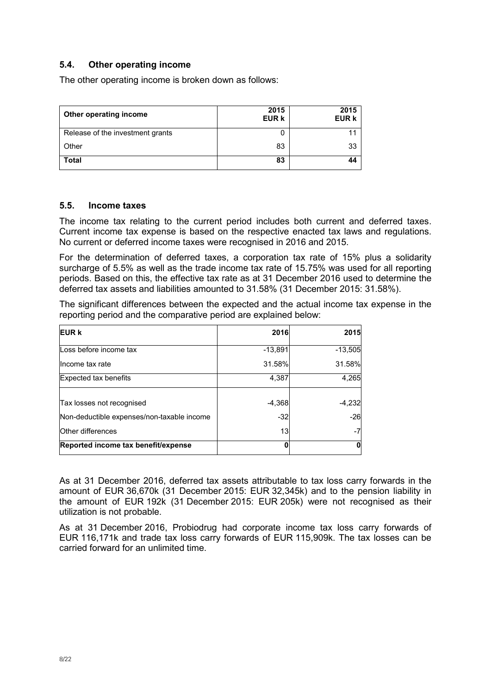#### **5.4. Other operating income**

The other operating income is broken down as follows:

| Other operating income           | 2015<br><b>EUR k</b> | 2015<br><b>EUR k</b> |
|----------------------------------|----------------------|----------------------|
| Release of the investment grants |                      |                      |
| Other                            | 83                   | 33                   |
| Total                            | 83                   | 44                   |

#### **5.5. Income taxes**

The income tax relating to the current period includes both current and deferred taxes. Current income tax expense is based on the respective enacted tax laws and regulations. No current or deferred income taxes were recognised in 2016 and 2015.

For the determination of deferred taxes, a corporation tax rate of 15% plus a solidarity surcharge of 5.5% as well as the trade income tax rate of 15.75% was used for all reporting periods. Based on this, the effective tax rate as at 31 December 2016 used to determine the deferred tax assets and liabilities amounted to 31.58% (31 December 2015: 31.58%).

The significant differences between the expected and the actual income tax expense in the reporting period and the comparative period are explained below:

| <b>EUR k</b>                               | 2016      | 2015      |
|--------------------------------------------|-----------|-----------|
| Loss before income tax                     | $-13,891$ | $-13,505$ |
| llncome tax rate                           | 31.58%    | 31.58%    |
| Expected tax benefits                      | 4,387     | 4,265     |
|                                            |           |           |
| Tax losses not recognised                  | $-4,368$  | $-4,232$  |
| Non-deductible expenses/non-taxable income | $-32$     | $-26$     |
| Other differences                          | 13        |           |
| Reported income tax benefit/expense        | Λ         |           |

As at 31 December 2016, deferred tax assets attributable to tax loss carry forwards in the amount of EUR 36,670k (31 December 2015: EUR 32,345k) and to the pension liability in the amount of EUR 192k (31 December 2015: EUR 205k) were not recognised as their utilization is not probable.

As at 31 December 2016, Probiodrug had corporate income tax loss carry forwards of EUR 116,171k and trade tax loss carry forwards of EUR 115,909k. The tax losses can be carried forward for an unlimited time.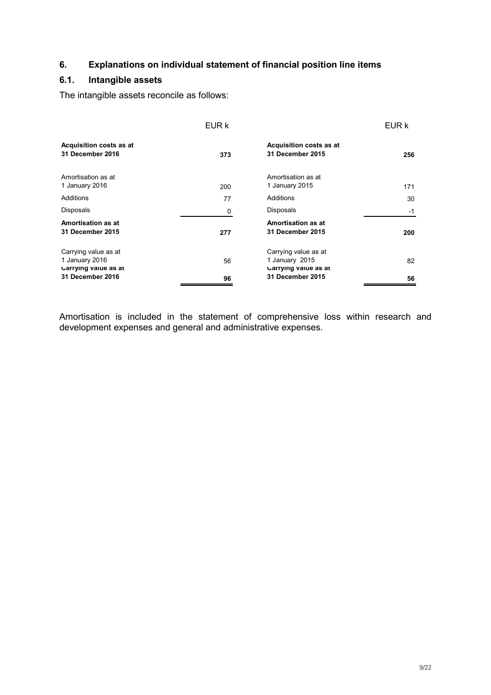#### **6. Explanations on individual statement of financial position line items**

#### **6.1. Intangible assets**

The intangible assets reconcile as follows:

|                                                                                    | EUR k |                                                                                    | EUR k |
|------------------------------------------------------------------------------------|-------|------------------------------------------------------------------------------------|-------|
| Acquisition costs as at<br>31 December 2016                                        | 373   | Acquisition costs as at<br>31 December 2015                                        | 256   |
| Amortisation as at<br>1 January 2016                                               | 200   | Amortisation as at<br>1 January 2015                                               | 171   |
| Additions                                                                          | 77    | Additions                                                                          | 30    |
| Disposals                                                                          | 0     | Disposals                                                                          | -1    |
| Amortisation as at<br>31 December 2015                                             | 277   | Amortisation as at<br>31 December 2015                                             | 200   |
| Carrying value as at<br>1 January 2016<br>Carrying value as at<br>31 December 2016 | 56    | Carrying value as at<br>1 January 2015<br>Carrying value as at<br>31 December 2015 | 82    |
|                                                                                    | 96    |                                                                                    | 56    |

Amortisation is included in the statement of comprehensive loss within research and development expenses and general and administrative expenses.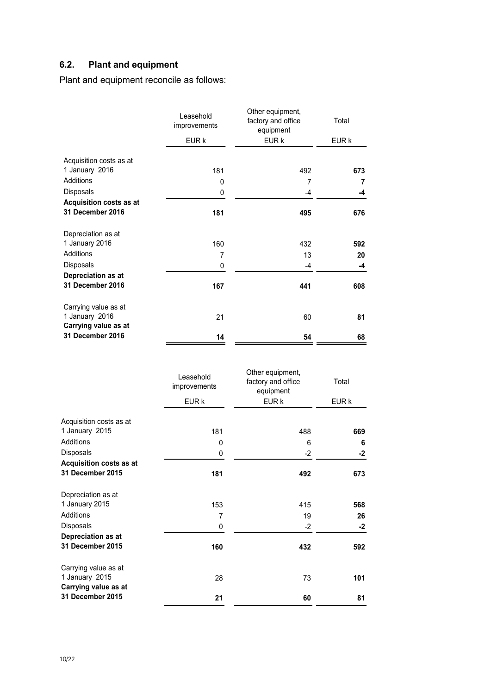# **6.2. Plant and equipment**

Plant and equipment reconcile as follows:

|                                        | Leasehold<br>improvements | Other equipment,<br>factory and office<br>equipment | Total |
|----------------------------------------|---------------------------|-----------------------------------------------------|-------|
|                                        | EUR k                     | EUR k                                               | EUR k |
| Acquisition costs as at                |                           |                                                     |       |
| 1 January 2016                         | 181                       | 492                                                 | 673   |
| <b>Additions</b>                       | 0                         | $\overline{7}$                                      | 7     |
| Disposals                              | 0                         | -4                                                  | -4    |
| Acquisition costs as at                |                           |                                                     |       |
| <b>31 December 2016</b>                | 181                       | 495                                                 | 676   |
| Depreciation as at                     |                           |                                                     |       |
| 1 January 2016                         | 160                       | 432                                                 | 592   |
| <b>Additions</b>                       | 7                         | 13                                                  | 20    |
| Disposals                              | 0                         | -4                                                  | -4    |
| Depreciation as at                     |                           |                                                     |       |
| <b>31 December 2016</b>                | 167                       | 441                                                 | 608   |
| Carrying value as at                   |                           |                                                     |       |
| 1 January 2016<br>Carrying value as at | 21                        | 60                                                  | 81    |
| <b>31 December 2016</b>                | 14                        | 54                                                  | 68    |

|                         | Leasehold<br>improvements | Other equipment,<br>factory and office<br>equipment | Total |
|-------------------------|---------------------------|-----------------------------------------------------|-------|
|                         | EUR k                     | EUR k                                               | EUR k |
| Acquisition costs as at |                           |                                                     |       |
| 1 January 2015          | 181                       | 488                                                 | 669   |
| <b>Additions</b>        | $\mathbf{0}$              | 6                                                   | 6     |
| Disposals               | 0                         | -2                                                  | $-2$  |
| Acquisition costs as at |                           |                                                     |       |
| 31 December 2015        | 181                       | 492                                                 | 673   |
| Depreciation as at      |                           |                                                     |       |
| 1 January 2015          | 153                       | 415                                                 | 568   |
| <b>Additions</b>        | 7                         | 19                                                  | 26    |
| Disposals               | 0                         | $-2$                                                | $-2$  |
| Depreciation as at      |                           |                                                     |       |
| 31 December 2015        | 160                       | 432                                                 | 592   |
| Carrying value as at    |                           |                                                     |       |
| 1 January 2015          | 28                        | 73                                                  | 101   |
| Carrying value as at    |                           |                                                     |       |
| 31 December 2015        | 21                        | 60                                                  | 81    |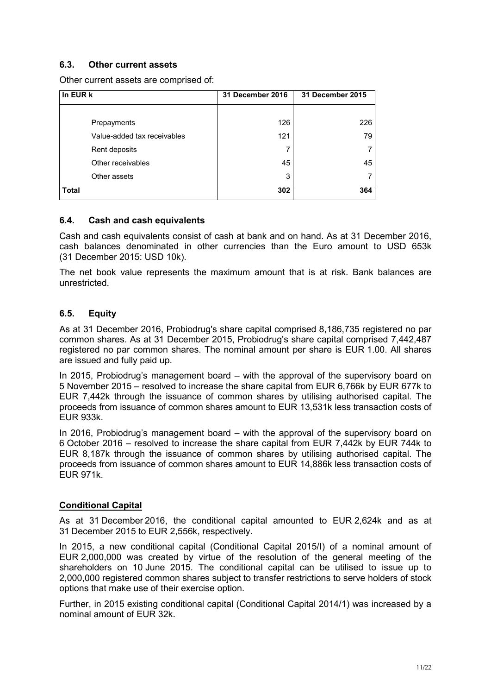#### **6.3. Other current assets**

Other current assets are comprised of:

| In EUR k                    | 31 December 2016 | 31 December 2015 |
|-----------------------------|------------------|------------------|
|                             |                  |                  |
| Prepayments                 | 126              | 226              |
| Value-added tax receivables | 121              | 79               |
| Rent deposits               | 7                |                  |
| Other receivables           | 45               | 45               |
| Other assets                | 3                |                  |
| <b>Total</b>                | 302              | 364              |

#### **6.4. Cash and cash equivalents**

Cash and cash equivalents consist of cash at bank and on hand. As at 31 December 2016, cash balances denominated in other currencies than the Euro amount to USD 653k (31 December 2015: USD 10k).

The net book value represents the maximum amount that is at risk. Bank balances are unrestricted.

#### **6.5. Equity**

As at 31 December 2016, Probiodrug's share capital comprised 8,186,735 registered no par common shares. As at 31 December 2015, Probiodrug's share capital comprised 7,442,487 registered no par common shares. The nominal amount per share is EUR 1.00. All shares are issued and fully paid up.

In 2015, Probiodrug's management board – with the approval of the supervisory board on 5 November 2015 – resolved to increase the share capital from EUR 6,766k by EUR 677k to EUR 7,442k through the issuance of common shares by utilising authorised capital. The proceeds from issuance of common shares amount to EUR 13,531k less transaction costs of EUR 933k.

In 2016, Probiodrug's management board – with the approval of the supervisory board on 6 October 2016 – resolved to increase the share capital from EUR 7,442k by EUR 744k to EUR 8,187k through the issuance of common shares by utilising authorised capital. The proceeds from issuance of common shares amount to EUR 14,886k less transaction costs of EUR 971k.

#### **Conditional Capital**

As at 31 December 2016, the conditional capital amounted to EUR 2,624k and as at 31 December 2015 to EUR 2,556k, respectively.

In 2015, a new conditional capital (Conditional Capital 2015/I) of a nominal amount of EUR 2,000,000 was created by virtue of the resolution of the general meeting of the shareholders on 10 June 2015. The conditional capital can be utilised to issue up to 2,000,000 registered common shares subject to transfer restrictions to serve holders of stock options that make use of their exercise option.

Further, in 2015 existing conditional capital (Conditional Capital 2014/1) was increased by a nominal amount of EUR 32k.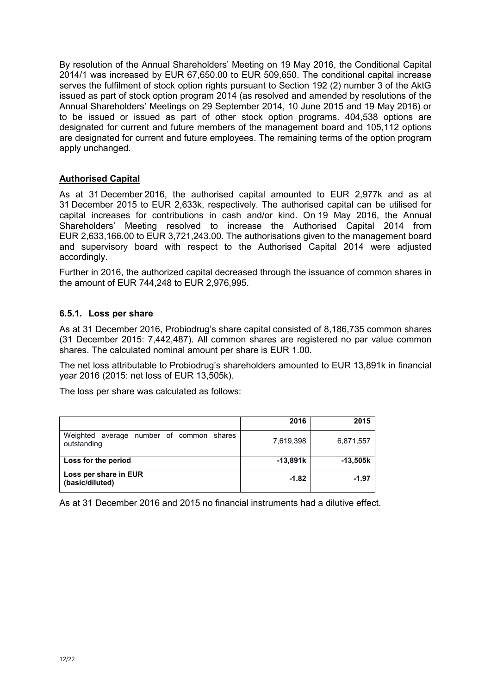By resolution of the Annual Shareholders' Meeting on 19 May 2016, the Conditional Capital 2014/1 was increased by EUR 67,650.00 to EUR 509,650. The conditional capital increase serves the fulfilment of stock option rights pursuant to Section 192 (2) number 3 of the AktG issued as part of stock option program 2014 (as resolved and amended by resolutions of the Annual Shareholders' Meetings on 29 September 2014, 10 June 2015 and 19 May 2016) or to be issued or issued as part of other stock option programs. 404,538 options are designated for current and future members of the management board and 105,112 options are designated for current and future employees. The remaining terms of the option program apply unchanged.

#### **Authorised Capital**

As at 31 December 2016, the authorised capital amounted to EUR 2,977k and as at 31 December 2015 to EUR 2,633k, respectively. The authorised capital can be utilised for capital increases for contributions in cash and/or kind. On 19 May 2016, the Annual Shareholders' Meeting resolved to increase the Authorised Capital 2014 from EUR 2,633,166.00 to EUR 3,721,243.00. The authorisations given to the management board and supervisory board with respect to the Authorised Capital 2014 were adjusted accordingly.

Further in 2016, the authorized capital decreased through the issuance of common shares in the amount of EUR 744,248 to EUR 2,976,995.

#### **6.5.1. Loss per share**

As at 31 December 2016, Probiodrug's share capital consisted of 8,186,735 common shares (31 December 2015: 7,442,487). All common shares are registered no par value common shares. The calculated nominal amount per share is EUR 1.00.

The net loss attributable to Probiodrug's shareholders amounted to EUR 13,891k in financial year 2016 (2015: net loss of EUR 13,505k).

The loss per share was calculated as follows:

|                                                            | 2016       | 2015       |
|------------------------------------------------------------|------------|------------|
| Weighted<br>average number of common shares<br>outstanding | 7,619,398  | 6,871,557  |
| Loss for the period                                        | $-13,891k$ | $-13,505k$ |
| Loss per share in EUR<br>(basic/diluted)                   | $-1.82$    | $-1.97$    |

As at 31 December 2016 and 2015 no financial instruments had a dilutive effect.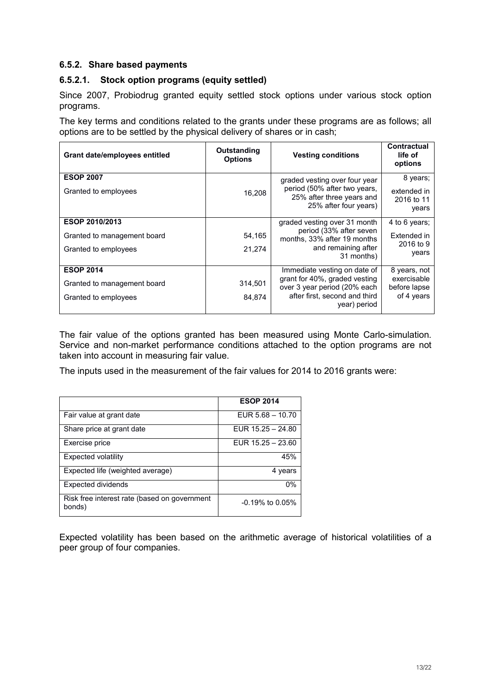#### **6.5.2. Share based payments**

#### **6.5.2.1. Stock option programs (equity settled)**

Since 2007, Probiodrug granted equity settled stock options under various stock option programs.

The key terms and conditions related to the grants under these programs are as follows; all options are to be settled by the physical delivery of shares or in cash;

| <b>Grant date/employees entitled</b>     | Outstanding<br><b>Options</b> | <b>Vesting conditions</b>                                     | Contractual<br>life of<br>options |
|------------------------------------------|-------------------------------|---------------------------------------------------------------|-----------------------------------|
| <b>ESOP 2007</b><br>Granted to employees | 16.208                        | graded vesting over four year<br>period (50% after two years, | 8 years;<br>extended in           |
|                                          |                               | 25% after three years and<br>25% after four years)            | 2016 to 11<br>years               |
| ESOP 2010/2013                           |                               | graded vesting over 31 month                                  | 4 to 6 years;                     |
| Granted to management board              | 54,165                        | period (33% after seven<br>months, 33% after 19 months        | Extended in<br>2016 to 9          |
| Granted to employees                     | 21.274                        | and remaining after<br>31 months)                             | years                             |
| <b>ESOP 2014</b>                         |                               | Immediate vesting on date of                                  | 8 years, not                      |
| Granted to management board              | 314,501                       | grant for 40%, graded vesting<br>over 3 year period (20% each | exercisable<br>before lapse       |
| Granted to employees                     | 84,874                        | after first, second and third<br>year) period                 | of 4 years                        |

The fair value of the options granted has been measured using Monte Carlo-simulation. Service and non-market performance conditions attached to the option programs are not taken into account in measuring fair value.

The inputs used in the measurement of the fair values for 2014 to 2016 grants were:

|                                                        | <b>ESOP 2014</b>    |
|--------------------------------------------------------|---------------------|
| Fair value at grant date                               | EUR $5.68 - 10.70$  |
| Share price at grant date                              | EUR $15.25 - 24.80$ |
| Exercise price                                         | EUR $15.25 - 23.60$ |
| Expected volatility                                    | 45%                 |
| Expected life (weighted average)                       | 4 years             |
| Expected dividends                                     | 0%                  |
| Risk free interest rate (based on government<br>bonds) | $-0.19\%$ to 0.05%  |

Expected volatility has been based on the arithmetic average of historical volatilities of a peer group of four companies.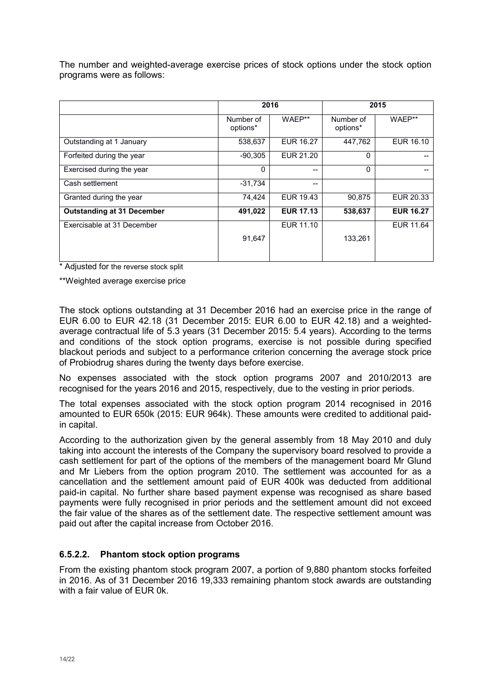The number and weighted-average exercise prices of stock options under the stock option programs were as follows:

|                                   | 2016                  |                  | 2015                  |                  |
|-----------------------------------|-----------------------|------------------|-----------------------|------------------|
|                                   | Number of<br>options* | WAEP**           | Number of<br>options* | WAEP**           |
| Outstanding at 1 January          | 538,637               | EUR 16.27        | 447,762               | EUR 16.10        |
| Forfeited during the year         | $-90,305$             | EUR 21.20        | 0                     |                  |
| Exercised during the year         | $\Omega$              | --               | $\Omega$              |                  |
| Cash settlement                   | $-31,734$             | --               |                       |                  |
| Granted during the year           | 74,424                | EUR 19.43        | 90,875                | EUR 20.33        |
| <b>Outstanding at 31 December</b> | 491,022               | <b>EUR 17.13</b> | 538,637               | <b>EUR 16.27</b> |
| Exercisable at 31 December        |                       | EUR 11.10        |                       | EUR 11.64        |
|                                   | 91,647                |                  | 133,261               |                  |
|                                   |                       |                  |                       |                  |

\* Adjusted for the reverse stock split

\*\*Weighted average exercise price

The stock options outstanding at 31 December 2016 had an exercise price in the range of EUR 6.00 to EUR 42.18 (31 December 2015: EUR 6.00 to EUR 42.18) and a weightedaverage contractual life of 5.3 years (31 December 2015: 5.4 years). According to the terms and conditions of the stock option programs, exercise is not possible during specified blackout periods and subject to a performance criterion concerning the average stock price of Probiodrug shares during the twenty days before exercise.

No expenses associated with the stock option programs 2007 and 2010/2013 are recognised for the years 2016 and 2015, respectively, due to the vesting in prior periods.

The total expenses associated with the stock option program 2014 recognised in 2016 amounted to EUR 650k (2015: EUR 964k). These amounts were credited to additional paidin capital.

According to the authorization given by the general assembly from 18 May 2010 and duly taking into account the interests of the Company the supervisory board resolved to provide a cash settlement for part of the options of the members of the management board Mr Glund and Mr Liebers from the option program 2010. The settlement was accounted for as a cancellation and the settlement amount paid of EUR 400k was deducted from additional paid-in capital. No further share based payment expense was recognised as share based payments were fully recognised in prior periods and the settlement amount did not exceed the fair value of the shares as of the settlement date. The respective settlement amount was paid out after the capital increase from October 2016.

#### **6.5.2.2. Phantom stock option programs**

From the existing phantom stock program 2007, a portion of 9,880 phantom stocks forfeited in 2016. As of 31 December 2016 19,333 remaining phantom stock awards are outstanding with a fair value of EUR 0k.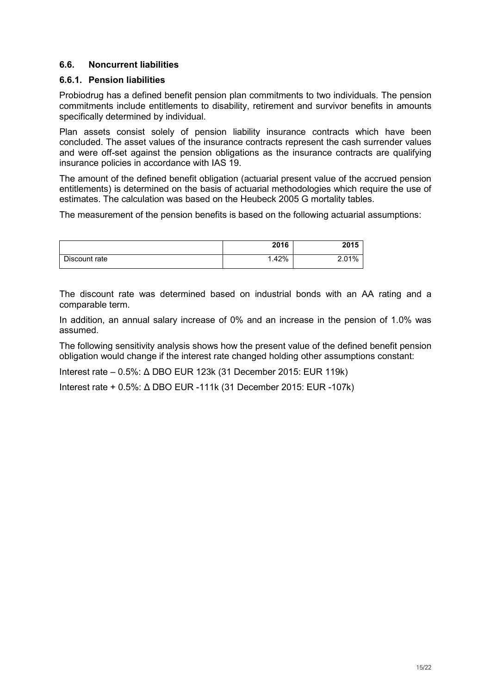#### **6.6. Noncurrent liabilities**

#### **6.6.1. Pension liabilities**

Probiodrug has a defined benefit pension plan commitments to two individuals. The pension commitments include entitlements to disability, retirement and survivor benefits in amounts specifically determined by individual.

Plan assets consist solely of pension liability insurance contracts which have been concluded. The asset values of the insurance contracts represent the cash surrender values and were off-set against the pension obligations as the insurance contracts are qualifying insurance policies in accordance with IAS 19.

The amount of the defined benefit obligation (actuarial present value of the accrued pension entitlements) is determined on the basis of actuarial methodologies which require the use of estimates. The calculation was based on the Heubeck 2005 G mortality tables.

The measurement of the pension benefits is based on the following actuarial assumptions:

|               | 2016 | 2015  |
|---------------|------|-------|
| Discount rate | .42% | 2.01% |

The discount rate was determined based on industrial bonds with an AA rating and a comparable term.

In addition, an annual salary increase of 0% and an increase in the pension of 1.0% was assumed.

The following sensitivity analysis shows how the present value of the defined benefit pension obligation would change if the interest rate changed holding other assumptions constant:

Interest rate – 0.5%: Δ DBO EUR 123k (31 December 2015: EUR 119k)

Interest rate + 0.5%: Δ DBO EUR -111k (31 December 2015: EUR -107k)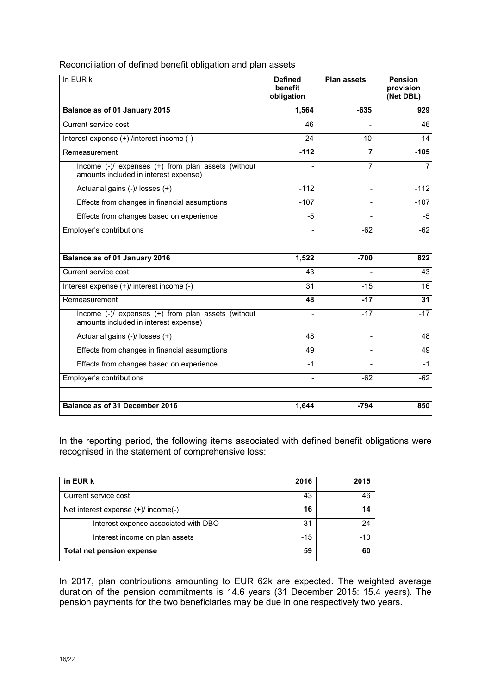| Reconciliation of defined benefit obligation and plan assets |
|--------------------------------------------------------------|
|--------------------------------------------------------------|

| In EUR k                                                                                    | <b>Defined</b><br>benefit<br>obligation | <b>Plan assets</b> | <b>Pension</b><br>provision<br>(Net DBL) |
|---------------------------------------------------------------------------------------------|-----------------------------------------|--------------------|------------------------------------------|
| Balance as of 01 January 2015                                                               | 1,564                                   | $-635$             | 929                                      |
| Current service cost                                                                        | 46                                      |                    | 46                                       |
| Interest expense (+) /interest income (-)                                                   | 24                                      | $-10$              | 14                                       |
| Remeasurement                                                                               | $-112$                                  | 7                  | $-105$                                   |
| Income (-)/ expenses (+) from plan assets (without<br>amounts included in interest expense) |                                         | 7                  | $\overline{7}$                           |
| Actuarial gains (-)/ losses (+)                                                             | $-112$                                  | $\overline{a}$     | $-112$                                   |
| Effects from changes in financial assumptions                                               | $-107$                                  |                    | $-107$                                   |
| Effects from changes based on experience                                                    | $-5$                                    |                    | $-5$                                     |
| Employer's contributions                                                                    |                                         | $-62$              | $-62$                                    |
| Balance as of 01 January 2016                                                               | 1,522                                   | $-700$             | 822                                      |
| Current service cost                                                                        | 43                                      |                    | 43                                       |
| Interest expense (+)/ interest income (-)                                                   | 31                                      | $-15$              | 16                                       |
| Remeasurement                                                                               | 48                                      | $-17$              | 31                                       |
| Income (-)/ expenses (+) from plan assets (without<br>amounts included in interest expense) |                                         | $-17$              | $-17$                                    |
| Actuarial gains (-)/ losses (+)                                                             | 48                                      |                    | 48                                       |
| Effects from changes in financial assumptions                                               | 49                                      |                    | 49                                       |
| Effects from changes based on experience                                                    | $-1$                                    |                    | $-1$                                     |
| Employer's contributions                                                                    |                                         | $-62$              | $-62$                                    |
| Balance as of 31 December 2016                                                              | 1,644                                   | $-794$             | 850                                      |

In the reporting period, the following items associated with defined benefit obligations were recognised in the statement of comprehensive loss:

| in EUR k                             | 2016  | 2015  |
|--------------------------------------|-------|-------|
| Current service cost                 | 43    | 46    |
| Net interest expense (+)/ income(-)  | 16    | 14    |
| Interest expense associated with DBO | 31    | 24    |
| Interest income on plan assets       | $-15$ | $-10$ |
| Total net pension expense            | 59    | 60    |

In 2017, plan contributions amounting to EUR 62k are expected. The weighted average duration of the pension commitments is 14.6 years (31 December 2015: 15.4 years). The pension payments for the two beneficiaries may be due in one respectively two years.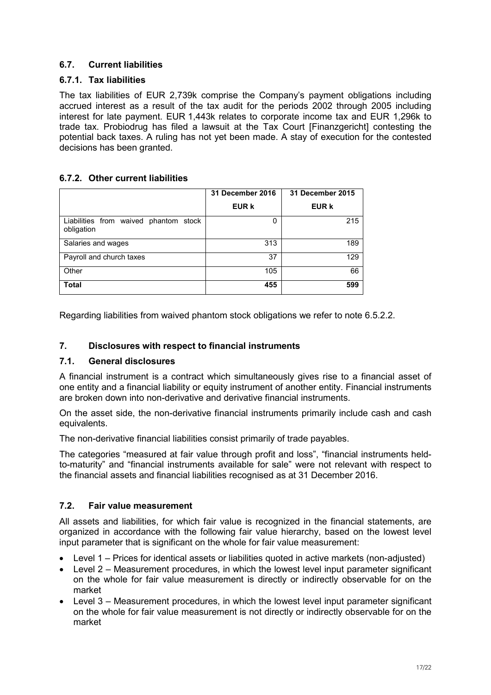#### **6.7. Current liabilities**

#### **6.7.1. Tax liabilities**

The tax liabilities of EUR 2,739k comprise the Company's payment obligations including accrued interest as a result of the tax audit for the periods 2002 through 2005 including interest for late payment. EUR 1,443k relates to corporate income tax and EUR 1,296k to trade tax. Probiodrug has filed a lawsuit at the Tax Court [Finanzgericht] contesting the potential back taxes. A ruling has not yet been made. A stay of execution for the contested decisions has been granted.

#### **6.7.2. Other current liabilities**

|                                                     | 31 December 2016 | 31 December 2015 |
|-----------------------------------------------------|------------------|------------------|
|                                                     | EUR k            | <b>EUR k</b>     |
| Liabilities from waived phantom stock<br>obligation | 0                | 215              |
| Salaries and wages                                  | 313              | 189              |
| Payroll and church taxes                            | 37               | 129              |
| Other                                               | 105              | 66               |
| <b>Total</b>                                        | 455              | 599              |

Regarding liabilities from waived phantom stock obligations we refer to note 6.5.2.2.

#### **7. Disclosures with respect to financial instruments**

#### **7.1. General disclosures**

A financial instrument is a contract which simultaneously gives rise to a financial asset of one entity and a financial liability or equity instrument of another entity. Financial instruments are broken down into non-derivative and derivative financial instruments.

On the asset side, the non-derivative financial instruments primarily include cash and cash equivalents.

The non-derivative financial liabilities consist primarily of trade payables.

The categories "measured at fair value through profit and loss", "financial instruments heldto-maturity" and "financial instruments available for sale" were not relevant with respect to the financial assets and financial liabilities recognised as at 31 December 2016.

#### **7.2. Fair value measurement**

All assets and liabilities, for which fair value is recognized in the financial statements, are organized in accordance with the following fair value hierarchy, based on the lowest level input parameter that is significant on the whole for fair value measurement:

- Level 1 Prices for identical assets or liabilities quoted in active markets (non-adjusted)
- Level 2 Measurement procedures, in which the lowest level input parameter significant on the whole for fair value measurement is directly or indirectly observable for on the market
- Level 3 Measurement procedures, in which the lowest level input parameter significant on the whole for fair value measurement is not directly or indirectly observable for on the market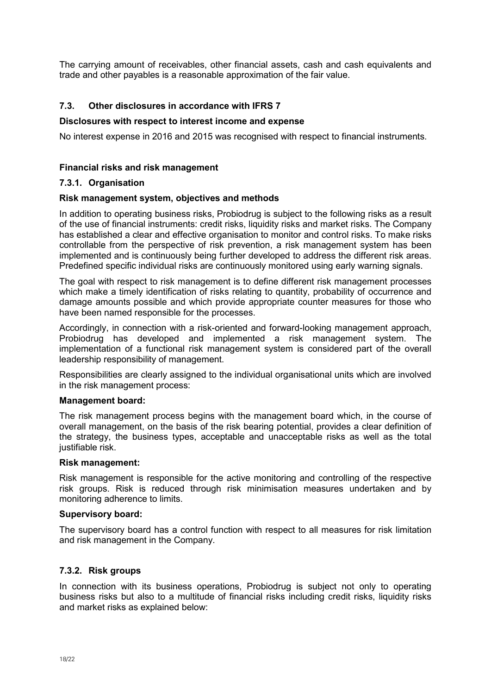The carrying amount of receivables, other financial assets, cash and cash equivalents and trade and other payables is a reasonable approximation of the fair value.

#### **7.3. Other disclosures in accordance with IFRS 7**

#### **Disclosures with respect to interest income and expense**

No interest expense in 2016 and 2015 was recognised with respect to financial instruments.

#### **Financial risks and risk management**

#### **7.3.1. Organisation**

#### **Risk management system, objectives and methods**

In addition to operating business risks, Probiodrug is subject to the following risks as a result of the use of financial instruments: credit risks, liquidity risks and market risks. The Company has established a clear and effective organisation to monitor and control risks. To make risks controllable from the perspective of risk prevention, a risk management system has been implemented and is continuously being further developed to address the different risk areas. Predefined specific individual risks are continuously monitored using early warning signals.

The goal with respect to risk management is to define different risk management processes which make a timely identification of risks relating to quantity, probability of occurrence and damage amounts possible and which provide appropriate counter measures for those who have been named responsible for the processes.

Accordingly, in connection with a risk-oriented and forward-looking management approach, Probiodrug has developed and implemented a risk management system. The implementation of a functional risk management system is considered part of the overall leadership responsibility of management.

Responsibilities are clearly assigned to the individual organisational units which are involved in the risk management process:

#### **Management board:**

The risk management process begins with the management board which, in the course of overall management, on the basis of the risk bearing potential, provides a clear definition of the strategy, the business types, acceptable and unacceptable risks as well as the total justifiable risk.

#### **Risk management:**

Risk management is responsible for the active monitoring and controlling of the respective risk groups. Risk is reduced through risk minimisation measures undertaken and by monitoring adherence to limits.

#### **Supervisory board:**

The supervisory board has a control function with respect to all measures for risk limitation and risk management in the Company.

#### **7.3.2. Risk groups**

In connection with its business operations, Probiodrug is subject not only to operating business risks but also to a multitude of financial risks including credit risks, liquidity risks and market risks as explained below: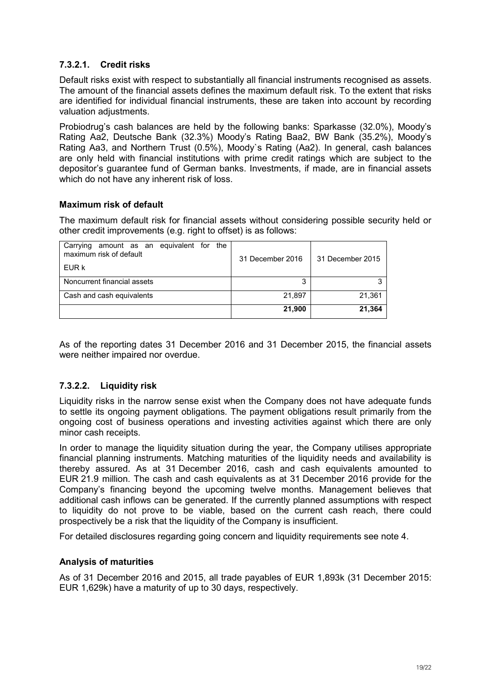#### **7.3.2.1. Credit risks**

Default risks exist with respect to substantially all financial instruments recognised as assets. The amount of the financial assets defines the maximum default risk. To the extent that risks are identified for individual financial instruments, these are taken into account by recording valuation adjustments.

Probiodrug's cash balances are held by the following banks: Sparkasse (32.0%), Moody's Rating Aa2, Deutsche Bank (32.3%) Moody's Rating Baa2, BW Bank (35.2%), Moody's Rating Aa3, and Northern Trust (0.5%), Moody`s Rating (Aa2). In general, cash balances are only held with financial institutions with prime credit ratings which are subject to the depositor's guarantee fund of German banks. Investments, if made, are in financial assets which do not have any inherent risk of loss.

#### **Maximum risk of default**

The maximum default risk for financial assets without considering possible security held or other credit improvements (e.g. right to offset) is as follows:

| Carrying amount as an equivalent for the<br>maximum risk of default<br>EUR k | 31 December 2016 | 31 December 2015 |
|------------------------------------------------------------------------------|------------------|------------------|
| Noncurrent financial assets                                                  | 3                |                  |
| Cash and cash equivalents                                                    | 21.897           | 21.361           |
|                                                                              | 21.900           | 21.364           |

As of the reporting dates 31 December 2016 and 31 December 2015, the financial assets were neither impaired nor overdue.

#### **7.3.2.2. Liquidity risk**

Liquidity risks in the narrow sense exist when the Company does not have adequate funds to settle its ongoing payment obligations. The payment obligations result primarily from the ongoing cost of business operations and investing activities against which there are only minor cash receipts.

In order to manage the liquidity situation during the year, the Company utilises appropriate financial planning instruments. Matching maturities of the liquidity needs and availability is thereby assured. As at 31 December 2016, cash and cash equivalents amounted to EUR 21.9 million. The cash and cash equivalents as at 31 December 2016 provide for the Company's financing beyond the upcoming twelve months. Management believes that additional cash inflows can be generated. If the currently planned assumptions with respect to liquidity do not prove to be viable, based on the current cash reach, there could prospectively be a risk that the liquidity of the Company is insufficient.

For detailed disclosures regarding going concern and liquidity requirements see note 4.

#### **Analysis of maturities**

As of 31 December 2016 and 2015, all trade payables of EUR 1,893k (31 December 2015: EUR 1,629k) have a maturity of up to 30 days, respectively.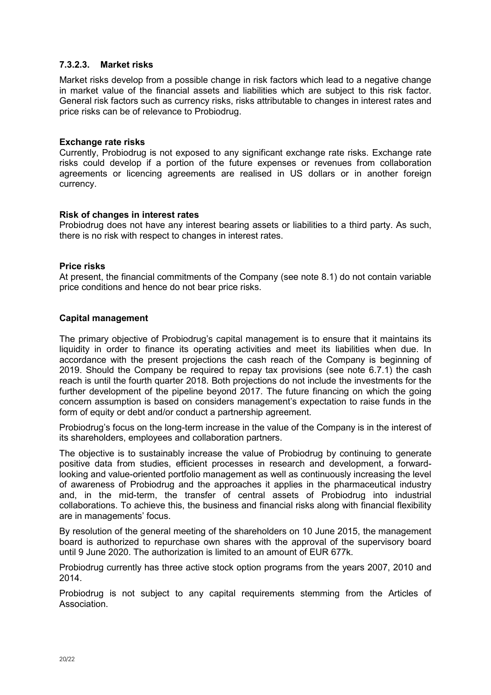#### **7.3.2.3. Market risks**

Market risks develop from a possible change in risk factors which lead to a negative change in market value of the financial assets and liabilities which are subject to this risk factor. General risk factors such as currency risks, risks attributable to changes in interest rates and price risks can be of relevance to Probiodrug.

#### **Exchange rate risks**

Currently, Probiodrug is not exposed to any significant exchange rate risks. Exchange rate risks could develop if a portion of the future expenses or revenues from collaboration agreements or licencing agreements are realised in US dollars or in another foreign currency.

#### **Risk of changes in interest rates**

Probiodrug does not have any interest bearing assets or liabilities to a third party. As such, there is no risk with respect to changes in interest rates.

#### **Price risks**

At present, the financial commitments of the Company (see note 8.1) do not contain variable price conditions and hence do not bear price risks.

#### **Capital management**

The primary objective of Probiodrug's capital management is to ensure that it maintains its liquidity in order to finance its operating activities and meet its liabilities when due. In accordance with the present projections the cash reach of the Company is beginning of 2019. Should the Company be required to repay tax provisions (see note 6.7.1) the cash reach is until the fourth quarter 2018. Both projections do not include the investments for the further development of the pipeline beyond 2017. The future financing on which the going concern assumption is based on considers management's expectation to raise funds in the form of equity or debt and/or conduct a partnership agreement.

Probiodrug's focus on the long-term increase in the value of the Company is in the interest of its shareholders, employees and collaboration partners.

The objective is to sustainably increase the value of Probiodrug by continuing to generate positive data from studies, efficient processes in research and development, a forwardlooking and value-oriented portfolio management as well as continuously increasing the level of awareness of Probiodrug and the approaches it applies in the pharmaceutical industry and, in the mid-term, the transfer of central assets of Probiodrug into industrial collaborations. To achieve this, the business and financial risks along with financial flexibility are in managements' focus.

By resolution of the general meeting of the shareholders on 10 June 2015, the management board is authorized to repurchase own shares with the approval of the supervisory board until 9 June 2020. The authorization is limited to an amount of EUR 677k.

Probiodrug currently has three active stock option programs from the years 2007, 2010 and 2014.

Probiodrug is not subject to any capital requirements stemming from the Articles of **Association**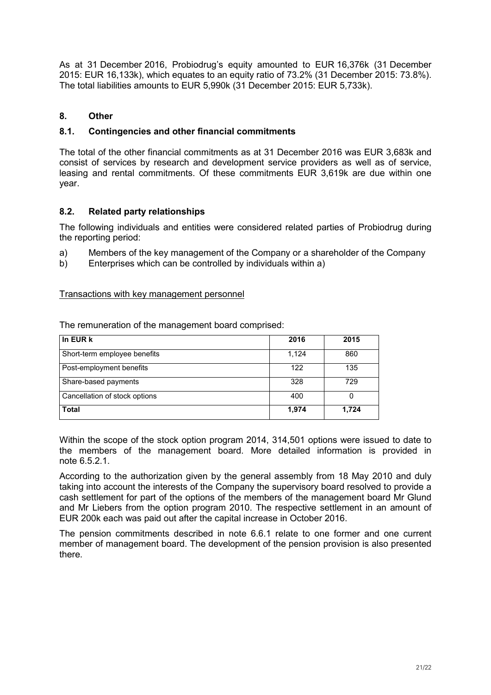As at 31 December 2016, Probiodrug's equity amounted to EUR 16,376k (31 December 2015: EUR 16,133k), which equates to an equity ratio of 73.2% (31 December 2015: 73.8%). The total liabilities amounts to EUR 5,990k (31 December 2015: EUR 5,733k).

#### **8. Other**

#### **8.1. Contingencies and other financial commitments**

The total of the other financial commitments as at 31 December 2016 was EUR 3,683k and consist of services by research and development service providers as well as of service, leasing and rental commitments. Of these commitments EUR 3,619k are due within one year.

#### **8.2. Related party relationships**

The following individuals and entities were considered related parties of Probiodrug during the reporting period:

- a) Members of the key management of the Company or a shareholder of the Company
- b) Enterprises which can be controlled by individuals within a)

#### Transactions with key management personnel

The remuneration of the management board comprised:

| In EUR k                      | 2016  | 2015  |
|-------------------------------|-------|-------|
| Short-term employee benefits  | 1,124 | 860   |
| Post-employment benefits      | 122   | 135   |
| Share-based payments          | 328   | 729   |
| Cancellation of stock options | 400   | 0     |
| <b>Total</b>                  | 1,974 | 1,724 |

Within the scope of the stock option program 2014, 314,501 options were issued to date to the members of the management board. More detailed information is provided in note 6.5.2.1.

According to the authorization given by the general assembly from 18 May 2010 and duly taking into account the interests of the Company the supervisory board resolved to provide a cash settlement for part of the options of the members of the management board Mr Glund and Mr Liebers from the option program 2010. The respective settlement in an amount of EUR 200k each was paid out after the capital increase in October 2016.

The pension commitments described in note 6.6.1 relate to one former and one current member of management board. The development of the pension provision is also presented there.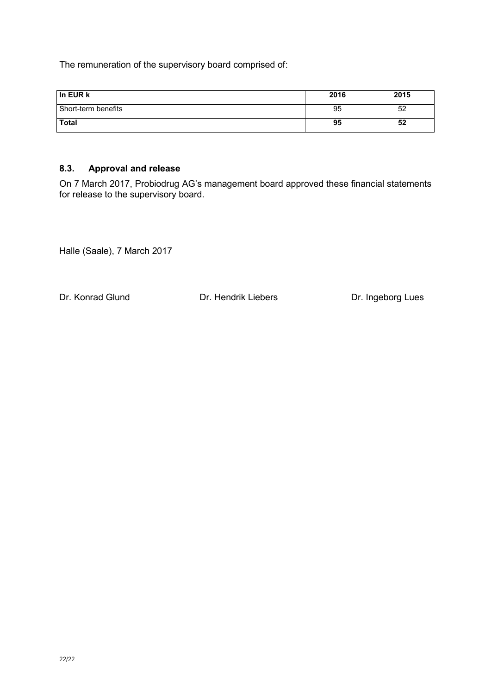The remuneration of the supervisory board comprised of:

| l In EUR k          | 2016 | 2015 |
|---------------------|------|------|
| Short-term benefits | 95   | 52   |
| <b>Total</b>        | 95   | 52   |

#### **8.3. Approval and release**

On 7 March 2017, Probiodrug AG's management board approved these financial statements for release to the supervisory board.

Halle (Saale), 7 March 2017

Dr. Konrad Glund Dr. Hendrik Liebers Dr. Ingeborg Lues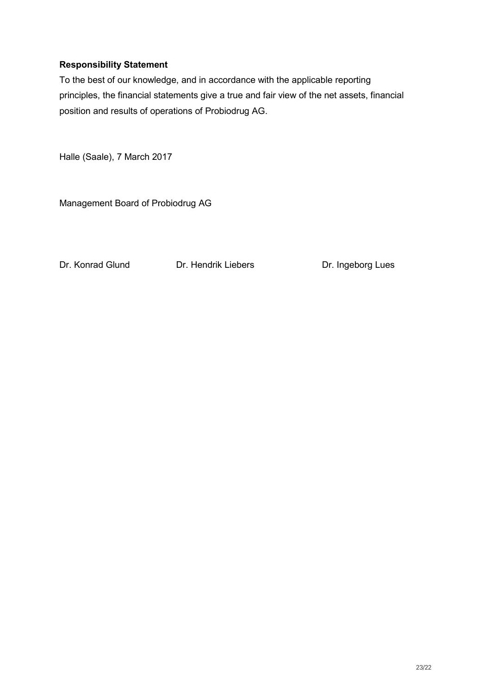#### **Responsibility Statement**

To the best of our knowledge, and in accordance with the applicable reporting principles, the financial statements give a true and fair view of the net assets, financial position and results of operations of Probiodrug AG.

Halle (Saale), 7 March 2017

Management Board of Probiodrug AG

Dr. Konrad Glund Dr. Hendrik Liebers Dr. Ingeborg Lues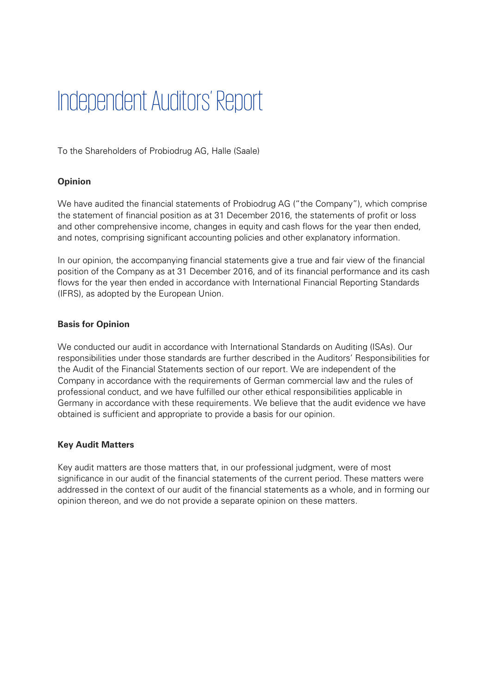# Independent Auditors' Report

To the Shareholders of Probiodrug AG, Halle (Saale)

#### **Opinion**

We have audited the financial statements of Probiodrug AG ("the Company"), which comprise the statement of financial position as at 31 December 2016, the statements of profit or loss and other comprehensive income, changes in equity and cash flows for the year then ended, and notes, comprising significant accounting policies and other explanatory information.

In our opinion, the accompanying financial statements give a true and fair view of the financial position of the Company as at 31 December 2016, and of its financial performance and its cash flows for the year then ended in accordance with International Financial Reporting Standards (IFRS), as adopted by the European Union.

#### Basis for Opinion

We conducted our audit in accordance with International Standards on Auditing (ISAs). Our responsibilities under those standards are further described in the Auditors' Responsibilities for the Audit of the Financial Statements section of our report. We are independent of the Company in accordance with the requirements of German commercial law and the rules of professional conduct, and we have fulfilled our other ethical responsibilities applicable in Germany in accordance with these requirements. We believe that the audit evidence we have obtained is sufficient and appropriate to provide a basis for our opinion.

#### Key Audit Matters

Key audit matters are those matters that, in our professional judgment, were of most significance in our audit of the financial statements of the current period. These matters were addressed in the context of our audit of the financial statements as a whole, and in forming our opinion thereon, and we do not provide a separate opinion on these matters.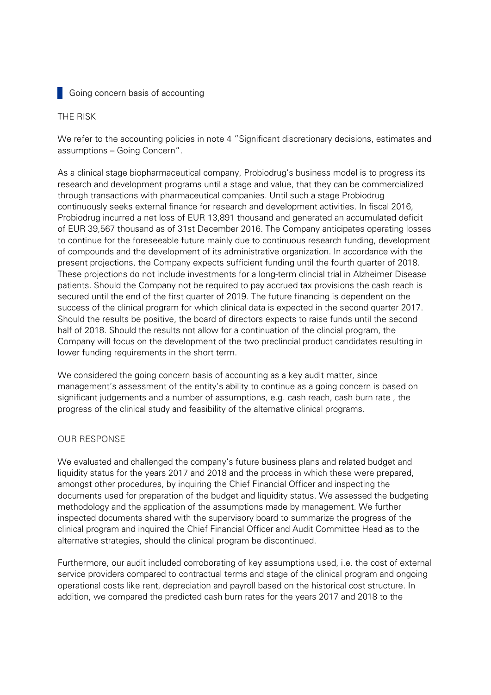#### **Going concern basis of accounting**

#### THE RISK

We refer to the accounting policies in note 4 "Significant discretionary decisions, estimates and assumptions – Going Concern".

As a clinical stage biopharmaceutical company, Probiodrug's business model is to progress its research and development programs until a stage and value, that they can be commercialized through transactions with pharmaceutical companies. Until such a stage Probiodrug continuously seeks external finance for research and development activities. In fiscal 2016, Probiodrug incurred a net loss of EUR 13,891 thousand and generated an accumulated deficit of EUR 39,567 thousand as of 31st December 2016. The Company anticipates operating losses to continue for the foreseeable future mainly due to continuous research funding, development of compounds and the development of its administrative organization. In accordance with the present projections, the Company expects sufficient funding until the fourth quarter of 2018. These projections do not include investments for a long-term clincial trial in Alzheimer Disease patients. Should the Company not be required to pay accrued tax provisions the cash reach is secured until the end of the first quarter of 2019. The future financing is dependent on the success of the clinical program for which clinical data is expected in the second quarter 2017. Should the results be positive, the board of directors expects to raise funds until the second half of 2018. Should the results not allow for a continuation of the clincial program, the Company will focus on the development of the two preclincial product candidates resulting in lower funding requirements in the short term.

We considered the going concern basis of accounting as a key audit matter, since management's assessment of the entity's ability to continue as a going concern is based on significant judgements and a number of assumptions, e.g. cash reach, cash burn rate, the progress of the clinical study and feasibility of the alternative clinical programs.

#### OUR RESPONSE

We evaluated and challenged the company's future business plans and related budget and liquidity status for the years 2017 and 2018 and the process in which these were prepared, amongst other procedures, by inquiring the Chief Financial Officer and inspecting the documents used for preparation of the budget and liquidity status. We assessed the budgeting methodology and the application of the assumptions made by management. We further inspected documents shared with the supervisory board to summarize the progress of the clinical program and inquired the Chief Financial Officer and Audit Committee Head as to the alternative strategies, should the clinical program be discontinued.

Furthermore, our audit included corroborating of key assumptions used, i.e. the cost of external service providers compared to contractual terms and stage of the clinical program and ongoing operational costs like rent, depreciation and payroll based on the historical cost structure. In addition, we compared the predicted cash burn rates for the years 2017 and 2018 to the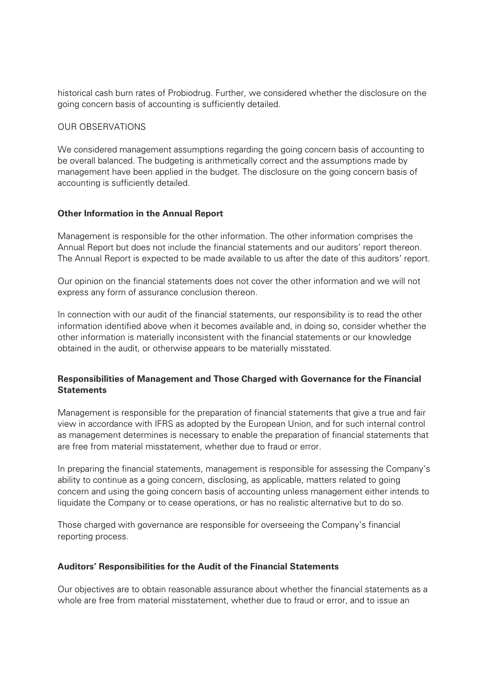historical cash burn rates of Probiodrug. Further, we considered whether the disclosure on the going concern basis of accounting is sufficiently detailed.

#### OUR-OBSERVATIONS-

We considered management assumptions regarding the going concern basis of accounting to be overall balanced. The budgeting is arithmetically correct and the assumptions made by management have been applied in the budget. The disclosure on the going concern basis of accounting is sufficiently detailed.

#### Other Information in the Annual Report

Management is responsible for the other information. The other information comprises the Annual Report but does not include the financial statements and our auditors' report thereon. The Annual Report is expected to be made available to us after the date of this auditors' report.

Our opinion on the financial statements does not cover the other information and we will not express any form of assurance conclusion thereon.

In connection with our audit of the financial statements, our responsibility is to read the other information identified above when it becomes available and, in doing so, consider whether the other information is materially inconsistent with the financial statements or our knowledge obtained in the audit, or otherwise appears to be materially misstated.

#### Responsibilities of Management and Those Charged with Governance for the Financial **Statements**

Management is responsible for the preparation of financial statements that give a true and fair view in accordance with IFRS as adopted by the European Union, and for such internal control as management determines is necessary to enable the preparation of financial statements that are free from material misstatement, whether due to fraud or error.

In preparing the financial statements, management is responsible for assessing the Company's ability to continue as a going concern, disclosing, as applicable, matters related to going concern and using the going concern basis of accounting unless management either intends to liquidate the Company or to cease operations, or has no realistic alternative but to do so.

Those charged with governance are responsible for overseeing the Company's financial reporting process.

#### Auditors' Responsibilities for the Audit of the Financial Statements

Our objectives are to obtain reasonable assurance about whether the financial statements as a whole are free from material misstatement, whether due to fraud or error, and to issue an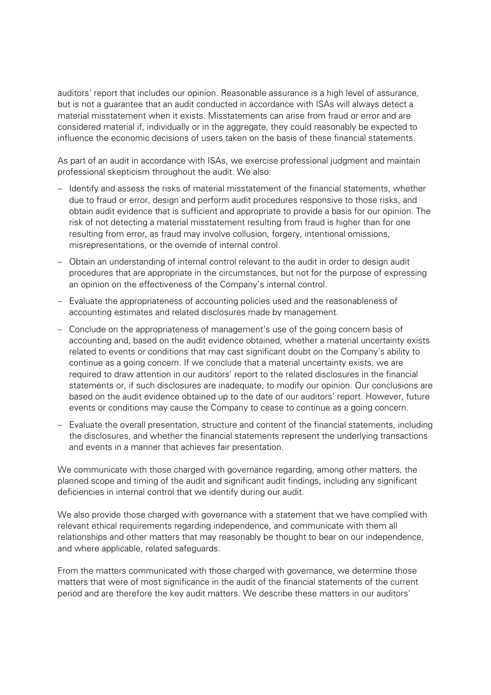auditors' report that includes our opinion. Reasonable assurance is a high level of assurance, but is not a guarantee that an audit conducted in accordance with ISAs will always detect a material misstatement when it exists. Misstatements can arise from fraud or error and are considered material if, individually or in the aggregate, they could reasonably be expected to influence the economic decisions of users taken on the basis of these financial statements.

As part of an audit in accordance with ISAs, we exercise professional judgment and maintain professional skepticism throughout the audit. We also:

- Identify and assess the risks of material misstatement of the financial statements, whether due to fraud or error, design and perform audit procedures responsive to those risks, and obtain audit evidence that is sufficient and appropriate to provide a basis for our opinion. The risk of not detecting a material misstatement resulting from fraud is higher than for one resulting from error, as fraud may involve collusion, forgery, intentional omissions, misrepresentations, or the override of internal control.
- Obtain an understanding of internal control relevant to the audit in order to design audit procedures that are appropriate in the circumstances, but not for the purpose of expressing an opinion on the effectiveness of the Company's internal control.
- Evaluate the appropriateness of accounting policies used and the reasonableness of accounting estimates and related disclosures made by management.
- Conclude on the appropriateness of management's use of the going concern basis of accounting and, based on the audit evidence obtained, whether a material uncertainty exists related to events or conditions that may cast significant doubt on the Company's ability to continue as a going concern. If we conclude that a material uncertainty exists, we are required to draw attention in our auditors' report to the related disclosures in the financial statements or, if such disclosures are inadequate, to modify our opinion. Our conclusions are based on the audit evidence obtained up to the date of our auditors' report. However, future events or conditions may cause the Company to cease to continue as a going concern.
- Evaluate the overall presentation, structure and content of the financial statements, including the disclosures, and whether the financial statements represent the underlying transactions and events in a manner that achieves fair presentation.

We communicate with those charged with governance regarding, among other matters, the planned scope and timing of the audit and significant audit findings, including any significant deficiencies in internal control that we identify during our audit.

We also provide those charged with governance with a statement that we have complied with relevant ethical requirements regarding independence, and communicate with them all relationships and other matters that may reasonably be thought to bear on our independence, and where applicable, related safeguards.

From the matters communicated with those charged with governance, we determine those matters that were of most significance in the audit of the financial statements of the current period and are therefore the key audit matters. We describe these matters in our auditors'